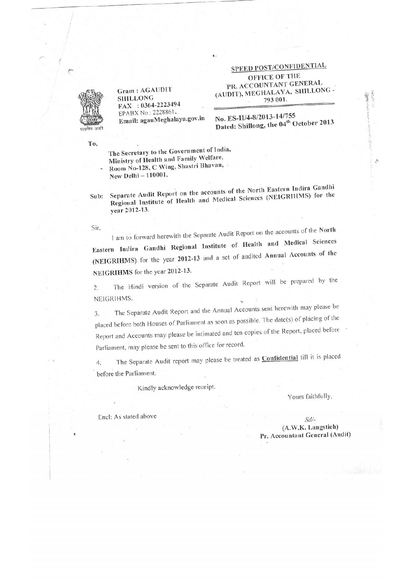

To,

Gram: AGAUDIT SHILLONG FAX: 0364-2223494 EPABX No: 2228861. Email: agauMeghalaya.gov.in SPEED POST/CONFIDENTIAL

**OFFICE OF THE** PR. ACCOUNTANT GENERAL (AUDIT), MEGHALAYA, SHILLONG -793 001.

No. ES-II/4-8/2013-14/755 Dated: Shillong, the 04<sup>th</sup> October 2013

 $\mathcal{O}$ 

The Secretary to the Government of India, Ministry of Health and Family Welfare, Room No-128, C Wing, Shastri Bhavan, New Delhi - 110001.

Separate Audit Report on the accounts of the North Eastern Indira Gandhi Regional Institute of Health and Medical Sciences (NEIGRIHMS) for the  $Sub:$ vear 2012-13.

Sir,

I am to forward herewith the Separate Audit Report on the accounts of the North Eastern Indira Gandhi Regional Institute of Health and Medical Sciences (NEIGRIHMS) for the year 2012-13 and a set of audited Annual Accounts of the NEIGRIHMS for the year 2012-13.

The Hindi version of the Separate Audit Report will be prepared by the  $\overline{2}$ . NEIGRIHMS.

The Separate Audit Report and the Annual Accounts sent herewith may please be  $3.$ placed before both Houses of Parliament as soon as possible. The date(s) of placing of the Report and Accounts may please be intimated and ten copies of the Report, placed before Parliament, may please be sent to this office for record.

The Separate Audit report may please be treated as **Confidential** till it is placed  $4.$ before the Parliament.

Kindly acknowledge receipt.

Yours faithfully,

Encl: As stated above

 $Sd$ /-

(A.W.K. Langstieh) Pr. Accountant General (Audit)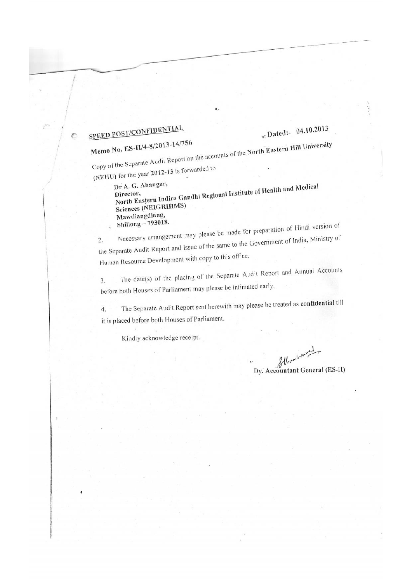# SPEED POST/CONFIDENTIAL

 $\mathcal{C}$ 

# $\leq$ Dated:- 04.10.2013

# Memo No. ES-II/4-8/2013-14/756

Copy of the Separate Audit Report on the accounts of the North Eastern Hill University (NEHU) for the year 2012-13 is forwarded to

Dr A. G. Ahangar, North Eastern Indira Gandhi Regional Institute of Health and Medical Sciences (NEIGRIHMS) Mawdiangdiang, Shillong-793018.

Necessary arrangement may please be made for preparation of Hindi version of the Separate Audit Report and issue of the same to the Government of India, Ministry of  $2.$ Human Resource Development with copy to this office.

The date(s) of the placing of the Separate Audit Report and Annual Accounts  $3.$ before both Houses of Parliament may please be intimated early.

The Separate Audit Report sent herewith may please be treated as confidential till  $4.$ it is placed before both Houses of Parliament.

Kindly acknowledge receipt.

Dy. Accountant General (ES-II)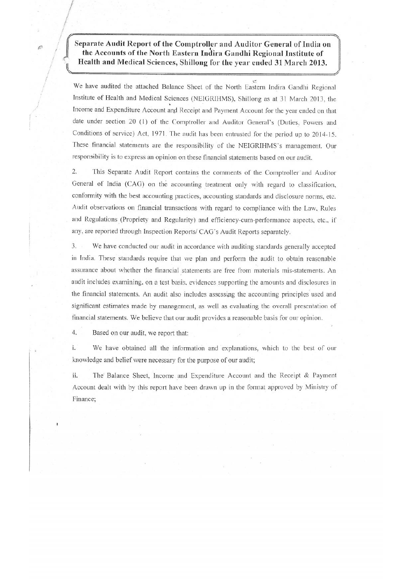Separate Audit Report of the Comptroller and Auditor General of India on the Accounts of the North Eastern Indira Gandhi Regional Institute of Health and Medical Sciences, Shillong for the year ended 31 March 2013.

We have audited the attached Balance Sheet of the North Eastern Indira Gandhi Regional Institute of Health and Medical Sciences (NEIGRIHMS), Shillong as at 31 March 2013, the Income and Expenditure Account and Receipt and Payment Account for the year ended on that date under section 20 (1) of the Comptroller and Auditor General's (Duties, Powers and Conditions of service) Act, 1971. The audit has been entrusted for the period up to 2014-15. These financial statements are the responsibility of the NEIGRIHMS's management. Our responsibility is to express an opinion on these financial statements based on our audit.

 $2.$ This Separate Audit Report contains the comments of the Comptroller and Auditor General of India (CAG) on the accounting treatment only with regard to classification, conformity with the best accounting practices, accounting standards and disclosure norms, etc. Audit observations on financial transactions with regard to compliance with the Law, Rules and Regulations (Propriety and Regularity) and efficiency-cum-performance aspects, etc., if any, are reported through Inspection Reports/ CAG's Audit Reports separately.

3. We have conducted our audit in accordance with auditing standards generally accepted in India. These standards require that we plan and perform the audit to obtain reasonable assurance about whether the financial statements are free from materials mis-statements. An audit includes examining, on a test basis, evidences supporting the amounts and disclosures in the financial statements. An audit also includes assessing the accounting principles used and significant estimates made by management, as well as evaluating the overall presentation of financial statements. We believe that our audit provides a reasonable basis for our opinion.

Based on our audit, we report that:  $4.$ 

 $\mathbb{C}$ 

i. We have obtained all the information and explanations, which to the best of our knowledge and belief were necessary for the purpose of our audit;

ii. The Balance Sheet, Income and Expenditure Account and the Receipt & Payment Account dealt with by this report have been drawn up in the format approved by Ministry of Finance;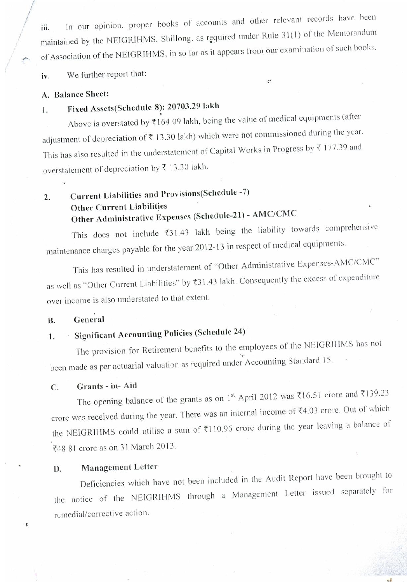In our opinion, proper books of accounts and other relevant records have been iii. maintained by the NEIGRIHMS, Shillong, as required under Rule 31(1) of the Memorandum of Association of the NEIGRIHMS, in so far as it appears from our examination of such books.

 $\zeta^{\prime}$ 

We further report that: iv.

# A. Balance Sheet:

#### Fixed Assets(Schedule-8): 20703.29 lakh 1.

Above is overstated by  $\overline{\xi}164.09$  lakh, being the value of medical equipments (after adjustment of depreciation of  $\bar{\tau}$  13.30 lakh) which were not commissioned during the year. This has also resulted in the understatement of Capital Works in Progress by  $\bar{\tau}$  177.39 and overstatement of depreciation by  $\bar{\xi}$  13.30 lakh.

## Current Liabilities and Provisions(Schedule -7)  $2.$ **Other Current Liabilities** Other Administrative Expenses (Schedule-21) - AMC/CMC

This does not include ₹31.43 lakh being the liability towards comprehensive maintenance charges payable for the year 2012-13 in respect of medical equipments.

This has resulted in understatement of "Other Administrative Expenses-AMC/CMC" as well as "Other Current Liabilities" by ₹31.43 lakh. Consequently the excess of expenditure over income is also understated to that extent.

General **B.** 

#### **Significant Accounting Policies (Schedule 24)**  $\mathbf{1}$ .

The provision for Retirement benefits to the employees of the NEIGRIHMS has not been made as per actuarial valuation as required under Accounting Standard 15.

#### Grants - in-Aid  $C.$

The opening balance of the grants as on 1st April 2012 was ₹16.51 crore and ₹139.23 crore was received during the year. There was an internal income of ₹4.03 crore. Out of which the NEIGRIHMS could utilise a sum of ₹110.96 crore during the year leaving a balance of ₹48.81 crore as on 31 March 2013.

#### **Management Letter** D.

 $\ddot{\phantom{1}}$ 

Deficiencies which have not been included in the Audit Report have been brought to the notice of the NEIGRIHMS through a Management Letter issued separately for remedial/corrective action.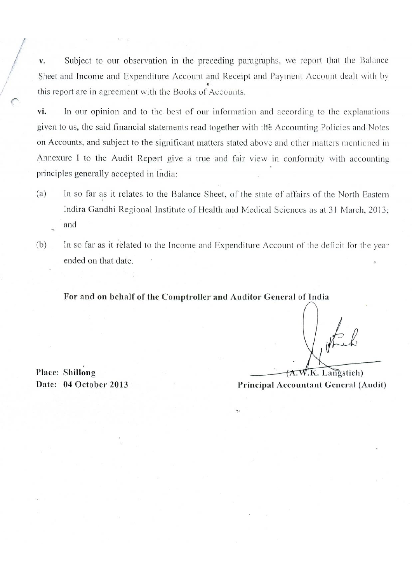Subject to our observation in the preceding paragraphs, we report that the Balance v. Sheet and Income and Expenditure Account and Receipt and Payment Account dealt with by this report are in agreement with the Books of Accounts.

vi. In our opinion and to the best of our information and according to the explanations given to us, the said financial statements read together with the Accounting Policies and Notes on Accounts, and subject to the significant matters stated above and other matters mentioned in Annexure I to the Audit Report give a true and fair view in conformity with accounting principles generally accepted in India:

- $(a)$ In so far as it relates to the Balance Sheet, of the state of affairs of the North Eastern Indira Gandhi Regional Institute of Health and Medical Sciences as at 31 March, 2013; and
- $(b)$ In so far as it related to the Income and Expenditure Account of the deficit for the year ended on that date.

For and on behalf of the Comptroller and Auditor General of India

**Place: Shillong** Date: 04 October 2013

A.W.K. Langstieh)

Principal Accountant General (Audit)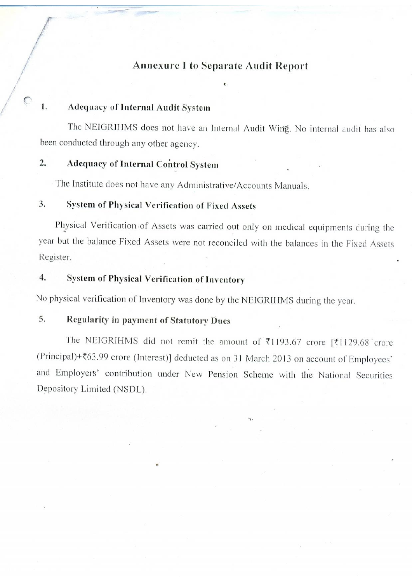# **Annexure I to Separate Audit Report**

#### **Adequacy of Internal Audit System** 1.

The NEIGRIHMS does not have an Internal Audit Wing. No internal audit has also been conducted through any other agency.

#### $2.$ **Adequacy of Internal Control System**

The Institute does not have any Administrative/Accounts Manuals.

#### System of Physical Verification of Fixed Assets 3.

Physical Verification of Assets was carried out only on medical equipments during the year but the balance Fixed Assets were not reconciled with the balances in the Fixed Assets Register.

#### $\overline{4}$ . **System of Physical Verification of Inventory**

No physical verification of Inventory was done by the NEIGRIHMS during the year.

#### **Regularity in payment of Statutory Dues** 5.

The NEIGRIHMS did not remit the amount of ₹1193.67 crore [₹1129.68 crore (Principal)+₹63.99 crore (Interest)] deducted as on 31 March 2013 on account of Employees' and Employers' contribution under New Pension Scheme with the National Securities Depository Limited (NSDL).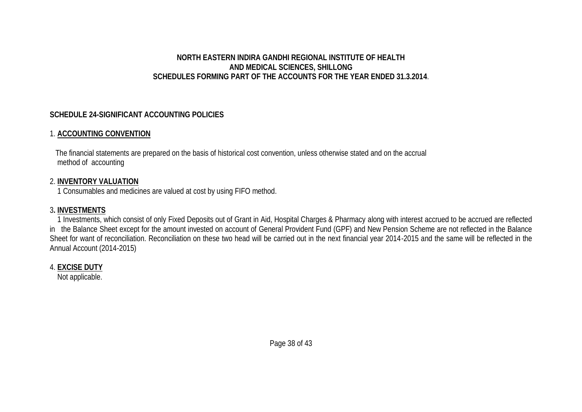## **NORTH EASTERN INDIRA GANDHI REGIONAL INSTITUTE OF HEALTH AND MEDICAL SCIENCES, SHILLONG SCHEDULES FORMING PART OF THE ACCOUNTS FOR THE YEAR ENDED 31.3.2014**.

# **SCHEDULE 24-SIGNIFICANT ACCOUNTING POLICIES**

# 1. **ACCOUNTING CONVENTION**

The financial statements are prepared on the basis of historical cost convention, unless otherwise stated and on the accrual method of accounting

# 2. **INVENTORY VALUATION**

1 Consumables and medicines are valued at cost by using FIFO method.

# 3**. INVESTMENTS**

1 Investments, which consist of only Fixed Deposits out of Grant in Aid, Hospital Charges & Pharmacy along with interest accrued to be accrued are reflected in the Balance Sheet except for the amount invested on account of General Provident Fund (GPF) and New Pension Scheme are not reflected in the Balance Sheet for want of reconciliation. Reconciliation on these two head will be carried out in the next financial year 2014-2015 and the same will be reflected in the Annual Account (2014-2015)

### 4. **EXCISE DUTY** Not applicable.

Page 38 of 43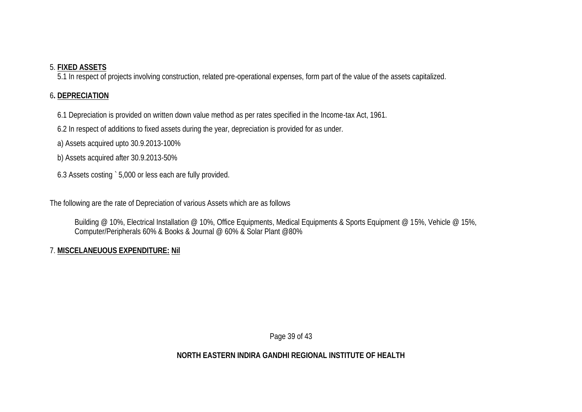### 5. **FIXED ASSETS**

5.1 In respect of projects involving construction, related pre-operational expenses, form part of the value of the assets capitalized.

# 6**. DEPRECIATION**

6.1 Depreciation is provided on written down value method as per rates specified in the Income-tax Act, 1961.

6.2 In respect of additions to fixed assets during the year, depreciation is provided for as under.

a) Assets acquired upto 30.9.2013-100%

- b) Assets acquired after 30.9.2013-50%
- 6.3 Assets costing ` 5,000 or less each are fully provided.

The following are the rate of Depreciation of various Assets which are as follows

Building @ 10%, Electrical Installation @ 10%, Office Equipments, Medical Equipments & Sports Equipment @ 15%, Vehicle @ 15%, Computer/Peripherals 60% & Books & Journal @ 60% & Solar Plant @80%

# 7. **MISCELANEUOUS EXPENDITURE: Nil**

Page 39 of 43

# **NORTH EASTERN INDIRA GANDHI REGIONAL INSTITUTE OF HEALTH**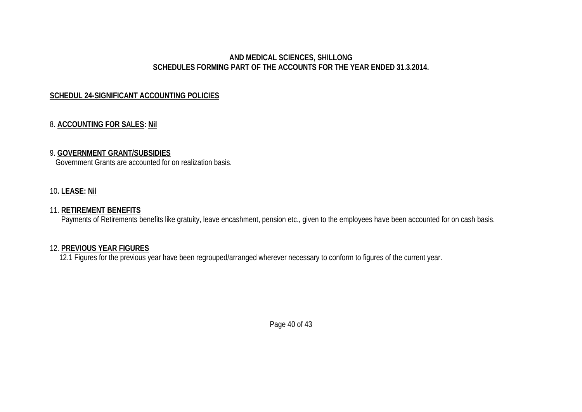## **AND MEDICAL SCIENCES, SHILLONG SCHEDULES FORMING PART OF THE ACCOUNTS FOR THE YEAR ENDED 31.3.2014.**

## **SCHEDUL 24-SIGNIFICANT ACCOUNTING POLICIES**

#### 8. **ACCOUNTING FOR SALES: Nil**

#### 9. **GOVERNMENT GRANT/SUBSIDIES**

Government Grants are accounted for on realization basis.

#### 10**. LEASE: Nil**

#### 11. **RETIREMENT BENEFITS**

Payments of Retirements benefits like gratuity, leave encashment, pension etc., given to the employees have been accounted for on cash basis.

#### 12. **PREVIOUS YEAR FIGURES**

12.1 Figures for the previous year have been regrouped/arranged wherever necessary to conform to figures of the current year.

Page 40 of 43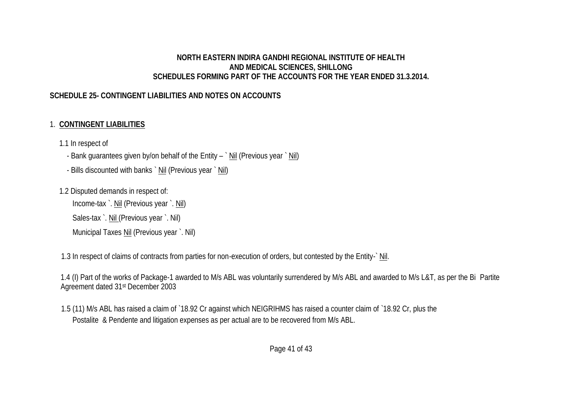## **NORTH EASTERN INDIRA GANDHI REGIONAL INSTITUTE OF HEALTH AND MEDICAL SCIENCES, SHILLONG SCHEDULES FORMING PART OF THE ACCOUNTS FOR THE YEAR ENDED 31.3.2014.**

# **SCHEDULE 25- CONTINGENT LIABILITIES AND NOTES ON ACCOUNTS**

# 1. **CONTINGENT LIABILITIES**

1.1 In respect of

- Bank guarantees given by/on behalf of the Entity – ` Nil (Previous year ` Nil)

- Bills discounted with banks ` Nil (Previous year ` Nil)

1.2 Disputed demands in respect of:

Income-tax `. Nil (Previous year `. Nil)

Sales-tax `. Nil (Previous year `. Nil)

Municipal Taxes Nil (Previous year `. Nil)

1.3 In respect of claims of contracts from parties for non-execution of orders, but contested by the Entity-` Nil.

1.4 (I) Part of the works of Package-1 awarded to M/s ABL was voluntarily surrendered by M/s ABL and awarded to M/s L&T, as per the Bi Partite Agreement dated 31st December 2003

1.5 (11) M/s ABL has raised a claim of `18.92 Cr against which NEIGRIHMS has raised a counter claim of `18.92 Cr, plus the Postalite & Pendente and litigation expenses as per actual are to be recovered from M/s ABL.

Page 41 of 43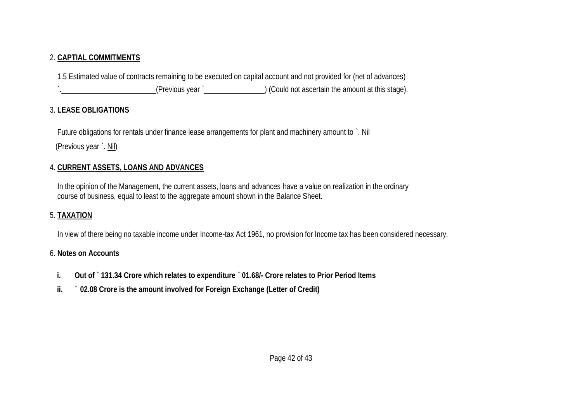# 2. **CAPTIAL COMMITMENTS**

1.5 Estimated value of contracts remaining to be executed on capital account and not provided for (net of advances) `.\_\_\_\_\_\_\_\_\_\_\_\_\_\_\_\_\_\_\_\_\_\_\_\_\_(Previous year `\_\_\_\_\_\_\_\_\_\_\_\_\_\_\_\_) (Could not ascertain the amount at this stage).

## 3. **LEASE OBLIGATIONS**

Future obligations for rentals under finance lease arrangements for plant and machinery amount to `. Nil

(Previous year `. Nil)

## 4. **CURRENT ASSETS, LOANS AND ADVANCES**

In the opinion of the Management, the current assets, loans and advances have a value on realization in the ordinary course of business, equal to least to the aggregate amount shown in the Balance Sheet.

## 5. **TAXATION**

In view of there being no taxable income under Income-tax Act 1961, no provision for Income tax has been considered necessary.

## 6. **Notes on Accounts**

- **i. Out of ` 131.34 Crore which relates to expenditure ` 01.68/- Crore relates to Prior Period Items**
- **ii. ` 02.08 Crore is the amount involved for Foreign Exchange (Letter of Credit)**